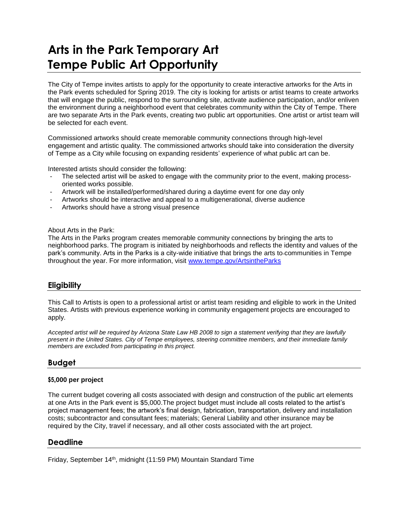# **Arts in the Park Temporary Art Tempe Public Art Opportunity**

The City of Tempe invites artists to apply for the opportunity to create interactive artworks for the Arts in the Park events scheduled for Spring 2019. The city is looking for artists or artist teams to create artworks that will engage the public, respond to the surrounding site, activate audience participation, and/or enliven the environment during a neighborhood event that celebrates community within the City of Tempe. There are two separate Arts in the Park events, creating two public art opportunities. One artist or artist team will be selected for each event.

Commissioned artworks should create memorable community connections through high-level engagement and artistic quality. The commissioned artworks should take into consideration the diversity of Tempe as a City while focusing on expanding residents' experience of what public art can be.

Interested artists should consider the following:

- The selected artist will be asked to engage with the community prior to the event, making processoriented works possible.
- Artwork will be installed/performed/shared during a daytime event for one day only
- Artworks should be interactive and appeal to a multigenerational, diverse audience
- Artworks should have a strong visual presence

#### About Arts in the Park:

The Arts in the Parks program creates memorable community connections by bringing the arts to neighborhood parks. The program is initiated by neighborhoods and reflects the identity and values of the park's community. Arts in the Parks is a city-wide initiative that brings the arts to communities in Tempe throughout the year. For more information, visit [www.tempe.gov/ArtsintheParks](http://www.tempe.gov/ArtsintheParks)

## **Eligibility**

This Call to Artists is open to a professional artist or artist team residing and eligible to work in the United States. Artists with previous experience working in community engagement projects are encouraged to apply.

*Accepted artist will be required by Arizona State Law HB 2008 to sign a statement verifying that they are lawfully present in the United States. City of Tempe employees, steering committee members, and their immediate family members are excluded from participating in this project.*

## **Budget**

#### **\$5,000 per project**

The current budget covering all costs associated with design and construction of the public art elements at one Arts in the Park event is \$5,000.The project budget must include all costs related to the artist's project management fees; the artwork's final design, fabrication, transportation, delivery and installation costs; subcontractor and consultant fees; materials; General Liability and other insurance may be required by the City, travel if necessary, and all other costs associated with the art project.

## **Deadline**

Friday, September 14<sup>th</sup>, midnight (11:59 PM) Mountain Standard Time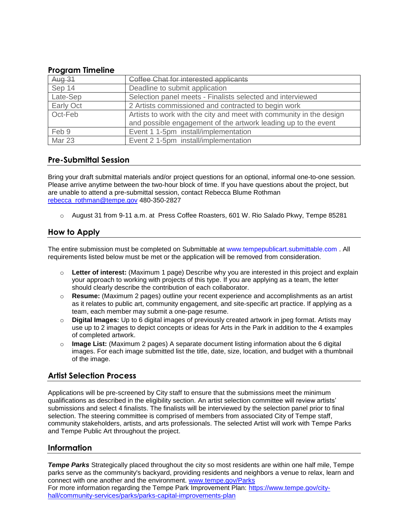### **Program Timeline**

| Aug 31    | Coffee Chat for interested applicants                               |
|-----------|---------------------------------------------------------------------|
| Sep 14    | Deadline to submit application                                      |
| Late-Sep  | Selection panel meets - Finalists selected and interviewed          |
| Early Oct | 2 Artists commissioned and contracted to begin work                 |
| Oct-Feb   | Artists to work with the city and meet with community in the design |
|           | and possible engagement of the artwork leading up to the event      |
| Feb 9     | Event 1 1-5pm install/implementation                                |
| Mar 23    | Event 2 1-5pm install/implementation                                |

## **Pre-Submittal Session**

Bring your draft submittal materials and/or project questions for an optional, informal one-to-one session. Please arrive anytime between the two-hour block of time. If you have questions about the project, but are unable to attend a pre-submittal session, contact Rebecca Blume Rothman [rebecca\\_rothman@tempe.gov](mailto:rebecca_rothman@tempe.gov) 480-350-2827

o August 31 from 9-11 a.m. at Press Coffee Roasters, 601 W. Rio Salado Pkwy, Tempe 85281

## **How to Apply**

The entire submission must be completed on Submittable at [www.tempepublicart.submittable.com](http://www.tempepublicart.submittable.com/) . All requirements listed below must be met or the application will be removed from consideration.

- o **Letter of interest:** (Maximum 1 page) Describe why you are interested in this project and explain your approach to working with projects of this type. If you are applying as a team, the letter should clearly describe the contribution of each collaborator.
- o **Resume:** (Maximum 2 pages) outline your recent experience and accomplishments as an artist as it relates to public art, community engagement, and site-specific art practice. If applying as a team, each member may submit a one-page resume.
- o **Digital Images:** Up to 6 digital images of previously created artwork in jpeg format. Artists may use up to 2 images to depict concepts or ideas for Arts in the Park in addition to the 4 examples of completed artwork.
- o **Image List:** (Maximum 2 pages) A separate document listing information about the 6 digital images. For each image submitted list the title, date, size, location, and budget with a thumbnail of the image.

# **Artist Selection Process**

Applications will be pre-screened by City staff to ensure that the submissions meet the minimum qualifications as described in the eligibility section. An artist selection committee will review artists' submissions and select 4 finalists. The finalists will be interviewed by the selection panel prior to final selection. The steering committee is comprised of members from associated City of Tempe staff, community stakeholders, artists, and arts professionals. The selected Artist will work with Tempe Parks and Tempe Public Art throughout the project.

## **Information**

**Tempe Parks** Strategically placed throughout the city so most residents are within one half mile, Tempe parks serve as the community's backyard, providing residents and neighbors a venue to relax, learn and connect with one another and the environment. [www.tempe.gov/Parks](http://www.tempe.gov/Parks)

For more information regarding the Tempe Park Improvement Plan: [https://www.tempe.gov/city](https://www.tempe.gov/city-hall/community-services/parks/parks-capital-improvements-plan)[hall/community-services/parks/parks-capital-improvements-plan](https://www.tempe.gov/city-hall/community-services/parks/parks-capital-improvements-plan)